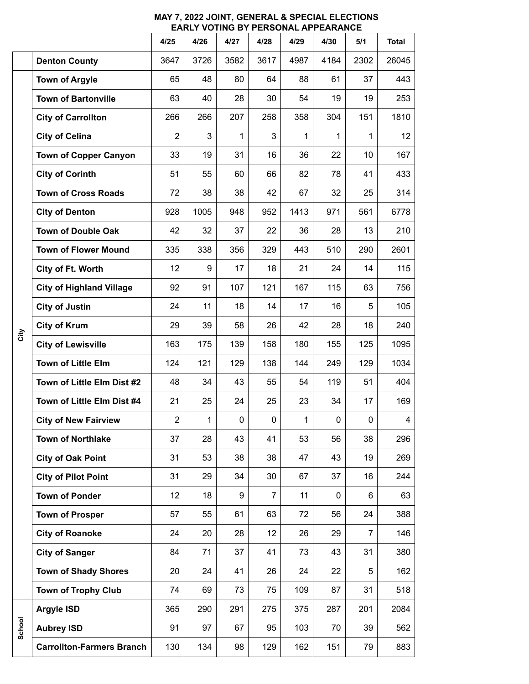|        |                                  | 4/25           | 4/26 | 4/27         | 4/28           | 4/29 | 4/30 | 5/1            | <b>Total</b> |
|--------|----------------------------------|----------------|------|--------------|----------------|------|------|----------------|--------------|
|        | <b>Denton County</b>             | 3647           | 3726 | 3582         | 3617           | 4987 | 4184 | 2302           | 26045        |
| City   | <b>Town of Argyle</b>            | 65             | 48   | 80           | 64             | 88   | 61   | 37             | 443          |
|        | <b>Town of Bartonville</b>       | 63             | 40   | 28           | 30             | 54   | 19   | 19             | 253          |
|        | <b>City of Carrollton</b>        | 266            | 266  | 207          | 258            | 358  | 304  | 151            | 1810         |
|        | <b>City of Celina</b>            | $\overline{2}$ | 3    | $\mathbf{1}$ | 3              | 1    | 1    | $\mathbf 1$    | 12           |
|        | <b>Town of Copper Canyon</b>     | 33             | 19   | 31           | 16             | 36   | 22   | 10             | 167          |
|        | <b>City of Corinth</b>           | 51             | 55   | 60           | 66             | 82   | 78   | 41             | 433          |
|        | <b>Town of Cross Roads</b>       | 72             | 38   | 38           | 42             | 67   | 32   | 25             | 314          |
|        | <b>City of Denton</b>            | 928            | 1005 | 948          | 952            | 1413 | 971  | 561            | 6778         |
|        | <b>Town of Double Oak</b>        | 42             | 32   | 37           | 22             | 36   | 28   | 13             | 210          |
|        | <b>Town of Flower Mound</b>      | 335            | 338  | 356          | 329            | 443  | 510  | 290            | 2601         |
|        | City of Ft. Worth                | 12             | 9    | 17           | 18             | 21   | 24   | 14             | 115          |
|        | <b>City of Highland Village</b>  | 92             | 91   | 107          | 121            | 167  | 115  | 63             | 756          |
|        | <b>City of Justin</b>            | 24             | 11   | 18           | 14             | 17   | 16   | 5              | 105          |
|        | <b>City of Krum</b>              | 29             | 39   | 58           | 26             | 42   | 28   | 18             | 240          |
|        | <b>City of Lewisville</b>        | 163            | 175  | 139          | 158            | 180  | 155  | 125            | 1095         |
|        | <b>Town of Little Elm</b>        | 124            | 121  | 129          | 138            | 144  | 249  | 129            | 1034         |
|        | Town of Little Elm Dist #2       | 48             | 34   | 43           | 55             | 54   | 119  | 51             | 404          |
|        | Town of Little Elm Dist #4       | 21             | 25   | 24           | 25             | 23   | 34   | 17             | 169          |
|        | <b>City of New Fairview</b>      | 2              | 1    | 0            | 0              | 1    | 0    | 0              | 4            |
|        | <b>Town of Northlake</b>         | 37             | 28   | 43           | 41             | 53   | 56   | 38             | 296          |
|        | <b>City of Oak Point</b>         | 31             | 53   | 38           | 38             | 47   | 43   | 19             | 269          |
|        | <b>City of Pilot Point</b>       | 31             | 29   | 34           | 30             | 67   | 37   | 16             | 244          |
|        | <b>Town of Ponder</b>            | 12             | 18   | 9            | $\overline{7}$ | 11   | 0    | 6              | 63           |
|        | <b>Town of Prosper</b>           | 57             | 55   | 61           | 63             | 72   | 56   | 24             | 388          |
|        | <b>City of Roanoke</b>           | 24             | 20   | 28           | 12             | 26   | 29   | $\overline{7}$ | 146          |
|        | <b>City of Sanger</b>            | 84             | 71   | 37           | 41             | 73   | 43   | 31             | 380          |
|        | <b>Town of Shady Shores</b>      | 20             | 24   | 41           | 26             | 24   | 22   | 5              | 162          |
|        | <b>Town of Trophy Club</b>       | 74             | 69   | 73           | 75             | 109  | 87   | 31             | 518          |
| School | <b>Argyle ISD</b>                | 365            | 290  | 291          | 275            | 375  | 287  | 201            | 2084         |
|        | <b>Aubrey ISD</b>                | 91             | 97   | 67           | 95             | 103  | 70   | 39             | 562          |
|        | <b>Carrollton-Farmers Branch</b> | 130            | 134  | 98           | 129            | 162  | 151  | 79             | 883          |

## **MAY 7, 2022 JOINT, GENERAL & SPECIAL ELECTIONS EARLY VOTING BY PERSONAL APPEARANCE**